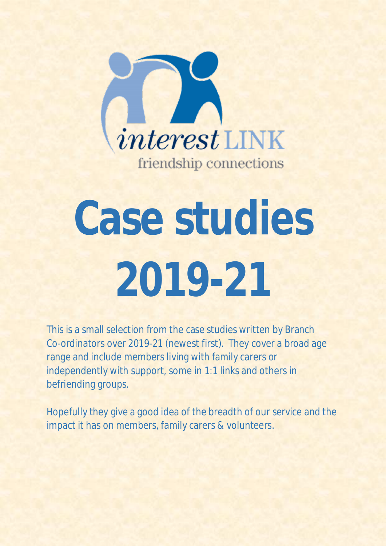

# **Case studies 2019-21**

This is a small selection from the case studies written by Branch Co-ordinators over 2019-21 (newest first). They cover a broad age range and include members living with family carers or independently with support, some in 1:1 links and others in befriending groups.

Hopefully they give a good idea of the breadth of our service and the impact it has on members, family carers & volunteers.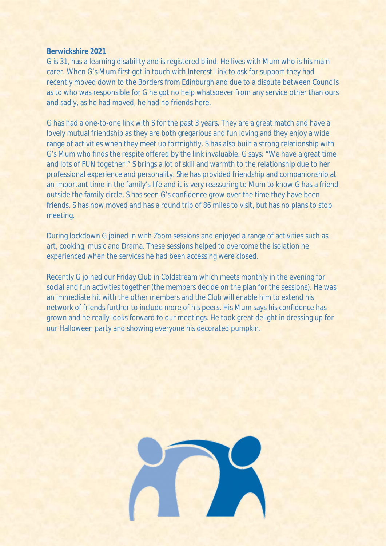### **Berwickshire 2021**

G is 31, has a learning disability and is registered blind. He lives with Mum who is his main carer. When G's Mum first got in touch with Interest Link to ask for support they had recently moved down to the Borders from Edinburgh and due to a dispute between Councils as to who was responsible for G he got no help whatsoever from any service other than ours and sadly, as he had moved, he had no friends here.

G has had a one-to-one link with S for the past 3 years. They are a great match and have a lovely mutual friendship as they are both gregarious and fun loving and they enjoy a wide range of activities when they meet up fortnightly. S has also built a strong relationship with G's Mum who finds the respite offered by the link invaluable. G says: "We have a great time and lots of FUN together!" S brings a lot of skill and warmth to the relationship due to her professional experience and personality. She has provided friendship and companionship at an important time in the family's life and it is very reassuring to Mum to know G has a friend outside the family circle. S has seen G's confidence grow over the time they have been friends. S has now moved and has a round trip of 86 miles to visit, but has no plans to stop meeting.

During lockdown G joined in with Zoom sessions and enjoyed a range of activities such as art, cooking, music and Drama. These sessions helped to overcome the isolation he experienced when the services he had been accessing were closed.

Recently G joined our Friday Club in Coldstream which meets monthly in the evening for social and fun activities together (the members decide on the plan for the sessions). He was an immediate hit with the other members and the Club will enable him to extend his network of friends further to include more of his peers. His Mum says his confidence has grown and he really looks forward to our meetings. He took great delight in dressing up for our Halloween party and showing everyone his decorated pumpkin.

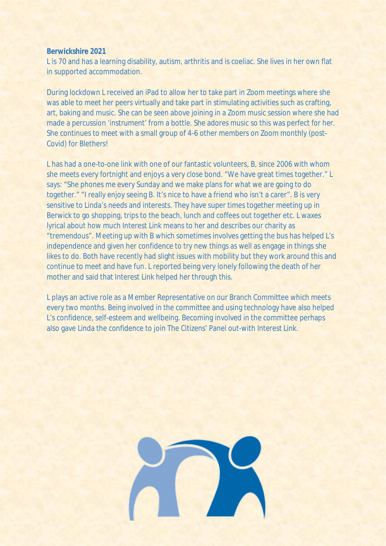#### **Berwickshire 2021**

L is 70 and has a learning disability, autism, arthritis and is coeliac. She lives in her own flat in supported accommodation.

During lockdown L received an iPad to allow her to take part in Zoom meetings where she was able to meet her peers virtually and take part in stimulating activities such as crafting, art, baking and music. She can be seen above joining in a Zoom music session where she had made a percussion 'instrument' from a bottle. She adores music so this was perfect for her. She continues to meet with a small group of 4-6 other members on Zoom monthly (post-Covid) for Blethers!

L has had a one-to-one link with one of our fantastic volunteers, B, since 2006 with whom she meets every fortnight and enjoys a very close bond. "We have great times together." L says: "She phones me every Sunday and we make plans for what we are going to do together." "I really enjoy seeing B. It's nice to have a friend who isn't a carer". B is very sensitive to Linda's needs and interests. They have super times together meeting up in Berwick to go shopping, trips to the beach, lunch and coffees out together etc. L waxes lyrical about how much Interest Link means to her and describes our charity as "tremendous". Meeting up with B which sometimes involves getting the bus has helped L's independence and given her confidence to try new things as well as engage in things she likes to do. Both have recently had slight issues with mobility but they work around this and continue to meet and have fun. L reported being very lonely following the death of her mother and said that Interest Link helped her through this.

L plays an active role as a Member Representative on our Branch Committee which meets every two months. Being involved in the committee and using technology have also helped L's confidence, self-esteem and wellbeing. Becoming involved in the committee perhaps also gave Linda the confidence to join The Citizens' Panel out-with Interest Link.

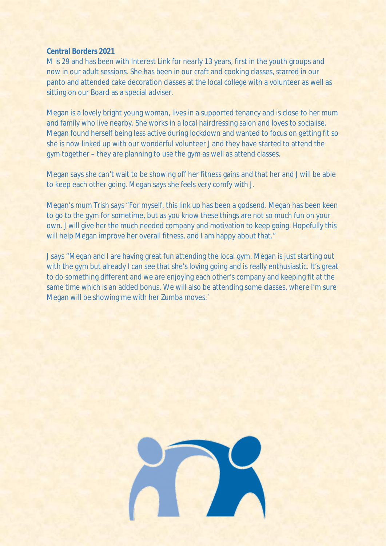M is 29 and has been with Interest Link for nearly 13 years, first in the youth groups and now in our adult sessions. She has been in our craft and cooking classes, starred in our panto and attended cake decoration classes at the local college with a volunteer as well as sitting on our Board as a special adviser.

Megan is a lovely bright young woman, lives in a supported tenancy and is close to her mum and family who live nearby. She works in a local hairdressing salon and loves to socialise. Megan found herself being less active during lockdown and wanted to focus on getting fit so she is now linked up with our wonderful volunteer J and they have started to attend the gym together – they are planning to use the gym as well as attend classes.

Megan says she can't wait to be showing off her fitness gains and that her and J will be able to keep each other going. Megan says she feels very comfy with J.

Megan's mum Trish says "For myself, this link up has been a godsend. Megan has been keen to go to the gym for sometime, but as you know these things are not so much fun on your own. J will give her the much needed company and motivation to keep going. Hopefully this will help Megan improve her overall fitness, and I am happy about that."

J says "Megan and I are having great fun attending the local gym. Megan is just starting out with the gym but already I can see that she's loving going and is really enthusiastic. It's great to do something different and we are enjoying each other's company and keeping fit at the same time which is an added bonus. We will also be attending some classes, where I'm sure Megan will be showing me with her Zumba moves.'

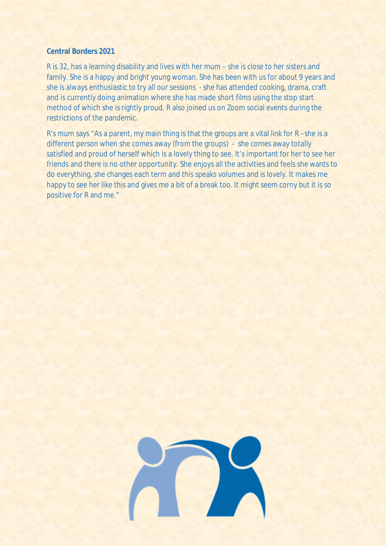R is 32, has a learning disability and lives with her mum – she is close to her sisters and family. She is a happy and bright young woman. She has been with us for about 9 years and she is always enthusiastic to try all our sessions - she has attended cooking, drama, craft and is currently doing animation where she has made short films using the stop start method of which she is rightly proud. R also joined us on Zoom social events during the restrictions of the pandemic.

R's mum says "As a parent, my main thing is that the groups are a vital link for R –she is a different person when she comes away (from the groups) - she comes away totally satisfied and proud of herself which is a lovely thing to see. It's important for her to see her friends and there is no other opportunity. She enjoys all the activities and feels she wants to do everything, she changes each term and this speaks volumes and is lovely. It makes me happy to see her like this and gives me a bit of a break too. It might seem corny but it is so positive for R and me."

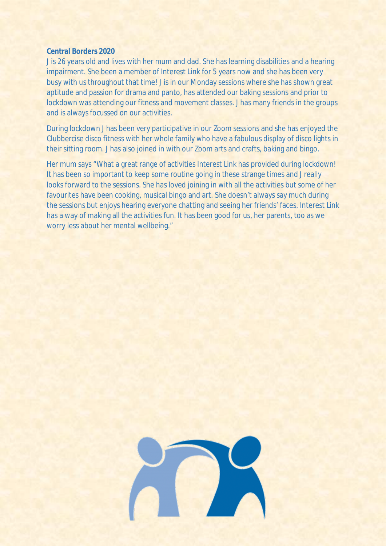J is 26 years old and lives with her mum and dad. She has learning disabilities and a hearing impairment. She been a member of Interest Link for 5 years now and she has been very busy with us throughout that time! J is in our Monday sessions where she has shown great aptitude and passion for drama and panto, has attended our baking sessions and prior to lockdown was attending our fitness and movement classes. J has many friends in the groups and is always focussed on our activities.

During lockdown J has been very participative in our Zoom sessions and she has enjoyed the Clubbercise disco fitness with her whole family who have a fabulous display of disco lights in their sitting room. J has also joined in with our Zoom arts and crafts, baking and bingo.

Her mum says "What a great range of activities Interest Link has provided during lockdown! It has been so important to keep some routine going in these strange times and J really looks forward to the sessions. She has loved joining in with all the activities but some of her favourites have been cooking, musical bingo and art. She doesn't always say much during the sessions but enjoys hearing everyone chatting and seeing her friends' faces. Interest Link has a way of making all the activities fun. It has been good for us, her parents, too as we worry less about her mental wellbeing."

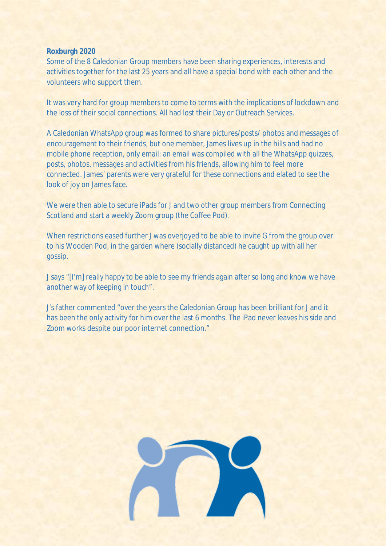## **Roxburgh 2020**

Some of the 8 Caledonian Group members have been sharing experiences, interests and activities together for the last 25 years and all have a special bond with each other and the volunteers who support them.

It was very hard for group members to come to terms with the implications of lockdown and the loss of their social connections. All had lost their Day or Outreach Services.

A Caledonian WhatsApp group was formed to share pictures/posts/ photos and messages of encouragement to their friends, but one member, James lives up in the hills and had no mobile phone reception, only email: an email was compiled with all the WhatsApp quizzes, posts, photos, messages and activities from his friends, allowing him to feel more connected. James' parents were very grateful for these connections and elated to see the look of joy on James face.

We were then able to secure iPads for J and two other group members from Connecting Scotland and start a weekly Zoom group (the Coffee Pod).

When restrictions eased further J was overjoyed to be able to invite G from the group over to his Wooden Pod, in the garden where (socially distanced) he caught up with all her gossip.

J says "[I'm] really happy to be able to see my friends again after so long and know we have another way of keeping in touch".

J's father commented "over the years the Caledonian Group has been brilliant for J and it has been the only activity for him over the last 6 months. The iPad never leaves his side and Zoom works despite our poor internet connection."

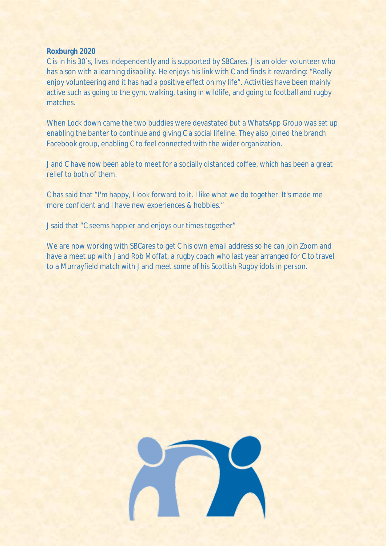#### **Roxburgh 2020**

C is in his 30`s, lives independently and is supported by SBCares. J is an older volunteer who has a son with a learning disability. He enjoys his link with C and finds it rewarding: "Really enjoy volunteering and it has had a positive effect on my life". Activities have been mainly active such as going to the gym, walking, taking in wildlife, and going to football and rugby matches.

When Lock down came the two buddies were devastated but a WhatsApp Group was set up enabling the banter to continue and giving C a social lifeline. They also joined the branch Facebook group, enabling C to feel connected with the wider organization.

J and C have now been able to meet for a socially distanced coffee, which has been a great relief to both of them.

C has said that "I'm happy, I look forward to it. I like what we do together. It's made me more confident and I have new experiences & hobbies."

J said that "C seems happier and enjoys our times together"

We are now working with SBCares to get C his own email address so he can join Zoom and have a meet up with J and Rob Moffat, a rugby coach who last year arranged for C to travel to a Murrayfield match with J and meet some of his Scottish Rugby idols in person.

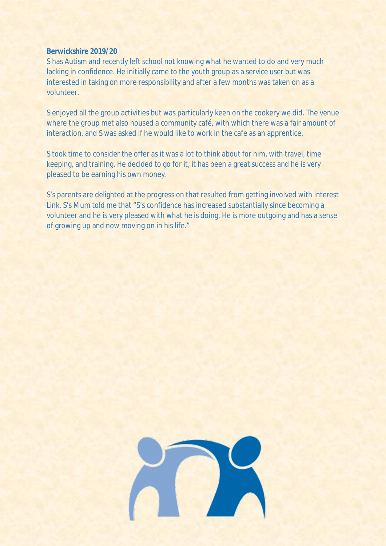# **Berwickshire 2019/20**

S has Autism and recently left school not knowing what he wanted to do and very much lacking in confidence. He initially came to the youth group as a service user but was interested in taking on more responsibility and after a few months was taken on as a volunteer.

S enjoyed all the group activities but was particularly keen on the cookery we did. The venue where the group met also housed a community café, with which there was a fair amount of interaction, and S was asked if he would like to work in the cafe as an apprentice.

S took time to consider the offer as it was a lot to think about for him, with travel, time keeping, and training. He decided to go for it, it has been a great success and he is very pleased to be earning his own money.

S's parents are delighted at the progression that resulted from getting involved with Interest Link. S's Mum told me that "S's confidence has increased substantially since becoming a volunteer and he is very pleased with what he is doing. He is more outgoing and has a sense of growing up and now moving on in his life."

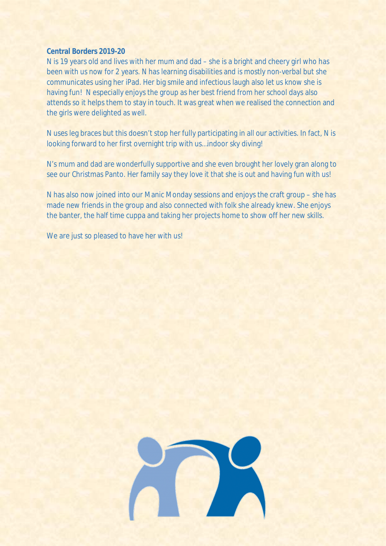# **Central Borders 2019-20**

N is 19 years old and lives with her mum and dad – she is a bright and cheery girl who has been with us now for 2 years. N has learning disabilities and is mostly non-verbal but she communicates using her iPad. Her big smile and infectious laugh also let us know she is having fun! N especially enjoys the group as her best friend from her school days also attends so it helps them to stay in touch. It was great when we realised the connection and the girls were delighted as well.

N uses leg braces but this doesn't stop her fully participating in all our activities. In fact, N is looking forward to her first overnight trip with us…indoor sky diving!

N's mum and dad are wonderfully supportive and she even brought her lovely gran along to see our Christmas Panto. Her family say they love it that she is out and having fun with us!

N has also now joined into our Manic Monday sessions and enjoys the craft group – she has made new friends in the group and also connected with folk she already knew. She enjoys the banter, the half time cuppa and taking her projects home to show off her new skills.

We are just so pleased to have her with us!

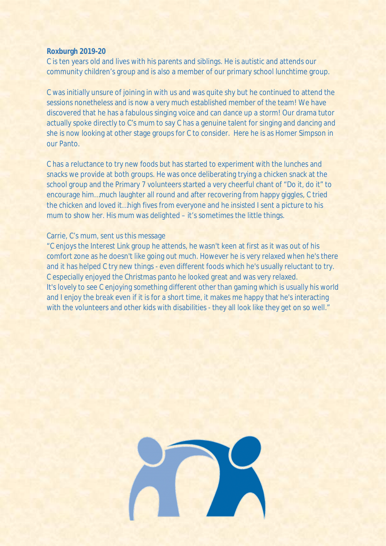#### **Roxburgh 2019-20**

C is ten years old and lives with his parents and siblings. He is autistic and attends our community children's group and is also a member of our primary school lunchtime group.

C was initially unsure of joining in with us and was quite shy but he continued to attend the sessions nonetheless and is now a very much established member of the team! We have discovered that he has a fabulous singing voice and can dance up a storm! Our drama tutor actually spoke directly to C's mum to say C has a genuine talent for singing and dancing and she is now looking at other stage groups for C to consider. Here he is as Homer Simpson in our Panto.

C has a reluctance to try new foods but has started to experiment with the lunches and snacks we provide at both groups. He was once deliberating trying a chicken snack at the school group and the Primary 7 volunteers started a very cheerful chant of "Do it, do it" to encourage him…much laughter all round and after recovering from happy giggles, C tried the chicken and loved it…high fives from everyone and he insisted I sent a picture to his mum to show her. His mum was delighted – it's sometimes the little things.

## Carrie, C's mum, sent us this message

"C enjoys the Interest Link group he attends, he wasn't keen at first as it was out of his comfort zone as he doesn't like going out much. However he is very relaxed when he's there and it has helped C try new things - even different foods which he's usually reluctant to try. C especially enjoyed the Christmas panto he looked great and was very relaxed. It's lovely to see C enjoying something different other than gaming which is usually his world and I enjoy the break even if it is for a short time, it makes me happy that he's interacting with the volunteers and other kids with disabilities - they all look like they get on so well."

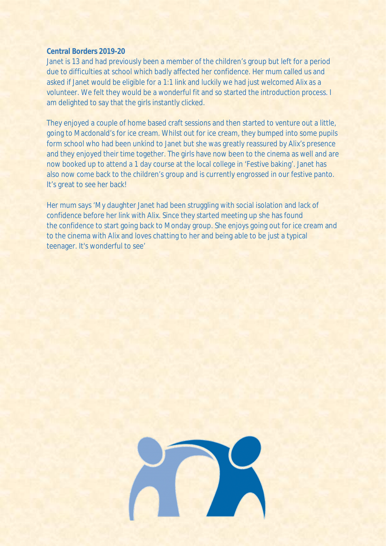# **Central Borders 2019-20**

Janet is 13 and had previously been a member of the children's group but left for a period due to difficulties at school which badly affected her confidence. Her mum called us and asked if Janet would be eligible for a 1:1 link and luckily we had just welcomed Alix as a volunteer. We felt they would be a wonderful fit and so started the introduction process. I am delighted to say that the girls instantly clicked.

They enjoyed a couple of home based craft sessions and then started to venture out a little, going to Macdonald's for ice cream. Whilst out for ice cream, they bumped into some pupils form school who had been unkind to Janet but she was greatly reassured by Alix's presence and they enjoyed their time together. The girls have now been to the cinema as well and are now booked up to attend a 1 day course at the local college in 'Festive baking'. Janet has also now come back to the children's group and is currently engrossed in our festive panto. It's great to see her back!

Her mum says 'My daughter Janet had been struggling with social isolation and lack of confidence before her link with Alix. Since they started meeting up she has found the confidence to start going back to Monday group. She enjoys going out for ice cream and to the cinema with Alix and loves chatting to her and being able to be just a typical teenager. It's wonderful to see'

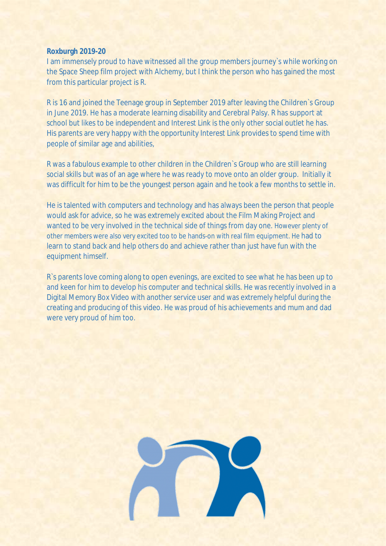## **Roxburgh 2019-20**

I am immensely proud to have witnessed all the group members journey`s while working on the Space Sheep film project with Alchemy, but I think the person who has gained the most from this particular project is R.

R is 16 and joined the Teenage group in September 2019 after leaving the Children`s Group in June 2019. He has a moderate learning disability and Cerebral Palsy. R has support at school but likes to be independent and Interest Link is the only other social outlet he has. His parents are very happy with the opportunity Interest Link provides to spend time with people of similar age and abilities,

R was a fabulous example to other children in the Children`s Group who are still learning social skills but was of an age where he was ready to move onto an older group. Initially it was difficult for him to be the youngest person again and he took a few months to settle in.

He is talented with computers and technology and has always been the person that people would ask for advice, so he was extremely excited about the Film Making Project and wanted to be very involved in the technical side of things from day one. However plenty of other members were also very excited too to be hands-on with real film equipment. He had to learn to stand back and help others do and achieve rather than just have fun with the equipment himself.

R`s parents love coming along to open evenings, are excited to see what he has been up to and keen for him to develop his computer and technical skills. He was recently involved in a Digital Memory Box Video with another service user and was extremely helpful during the creating and producing of this video. He was proud of his achievements and mum and dad were very proud of him too.

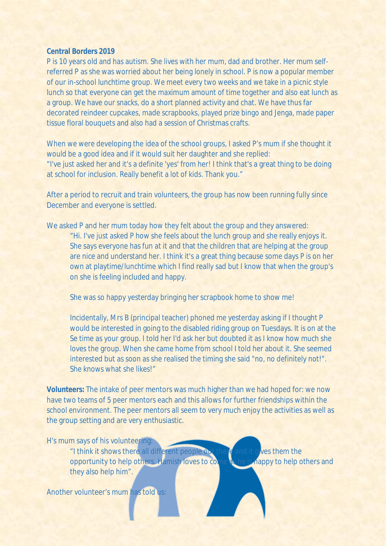P is 10 years old and has autism. She lives with her mum, dad and brother. Her mum selfreferred P as she was worried about her being lonely in school. P is now a popular member of our in-school lunchtime group. We meet every two weeks and we take in a picnic style lunch so that everyone can get the maximum amount of time together and also eat lunch as a group. We have our snacks, do a short planned activity and chat. We have thus far decorated reindeer cupcakes, made scrapbooks, played prize bingo and Jenga, made paper tissue floral bouquets and also had a session of Christmas crafts.

When we were developing the idea of the school groups, I asked P's mum if she thought it would be a good idea and if it would suit her daughter and she replied: "I've just asked her and it's a definite 'yes' from her! I think that's a great thing to be doing at school for inclusion. Really benefit a lot of kids. Thank you."

After a period to recruit and train volunteers, the group has now been running fully since December and everyone is settled.

We asked P and her mum today how they felt about the group and they answered:

"Hi. I've just asked P how she feels about the lunch group and she really enjoys it. She says everyone has fun at it and that the children that are helping at the group are nice and understand her. I think it's a great thing because some days P is on her own at playtime/lunchtime which I find really sad but I know that when the group's on she is feeling included and happy.

She was so happy yesterday bringing her scrapbook home to show me!

Incidentally, Mrs B (principal teacher) phoned me yesterday asking if I thought P would be interested in going to the disabled riding group on Tuesdays. It is on at the Se time as your group. I told her I'd ask her but doubted it as I know how much she loves the group. When she came home from school I told her about it. She seemed interested but as soon as she realised the timing she said "no, no definitely not!". She knows what she likes!"

**Volunteers:** The intake of peer mentors was much higher than we had hoped for: we now have two teams of 5 peer mentors each and this allows for further friendships within the school environment. The peer mentors all seem to very much enjoy the activities as well as the group setting and are very enthusiastic.

H's mum says of his volunteering:

"I think it shows there all different people out there and it gives them the opportunity to help others. Hamish loves to come as he is happy to help others and they also help him".

Another volunteer's mum has told us: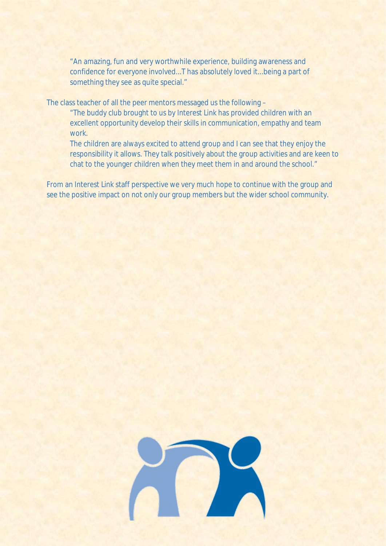"An amazing, fun and very worthwhile experience, building awareness and confidence for everyone involved...T has absolutely loved it...being a part of something they see as quite special."

The class teacher of all the peer mentors messaged us the following –

"The buddy club brought to us by Interest Link has provided children with an excellent opportunity develop their skills in communication, empathy and team work.

The children are always excited to attend group and I can see that they enjoy the responsibility it allows. They talk positively about the group activities and are keen to chat to the younger children when they meet them in and around the school."

From an Interest Link staff perspective we very much hope to continue with the group and see the positive impact on not only our group members but the wider school community.

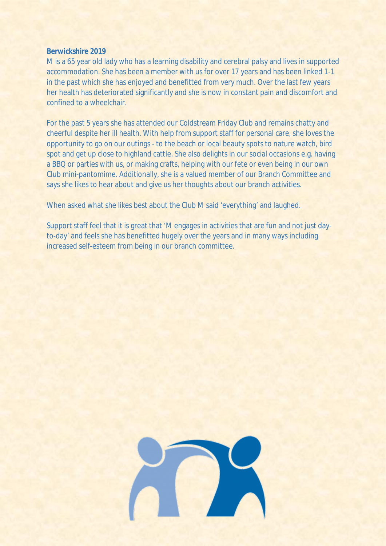## **Berwickshire 2019**

M is a 65 year old lady who has a learning disability and cerebral palsy and lives in supported accommodation. She has been a member with us for over 17 years and has been linked 1-1 in the past which she has enjoyed and benefitted from very much. Over the last few years her health has deteriorated significantly and she is now in constant pain and discomfort and confined to a wheelchair.

For the past 5 years she has attended our Coldstream Friday Club and remains chatty and cheerful despite her ill health. With help from support staff for personal care, she loves the opportunity to go on our outings - to the beach or local beauty spots to nature watch, bird spot and get up close to highland cattle. She also delights in our social occasions e.g. having a BBQ or parties with us, or making crafts, helping with our fete or even being in our own Club mini-pantomime. Additionally, she is a valued member of our Branch Committee and says she likes to hear about and give us her thoughts about our branch activities.

When asked what she likes best about the Club M said 'everything' and laughed.

Support staff feel that it is great that 'M engages in activities that are fun and not just dayto-day' and feels she has benefitted hugely over the years and in many ways including increased self-esteem from being in our branch committee.